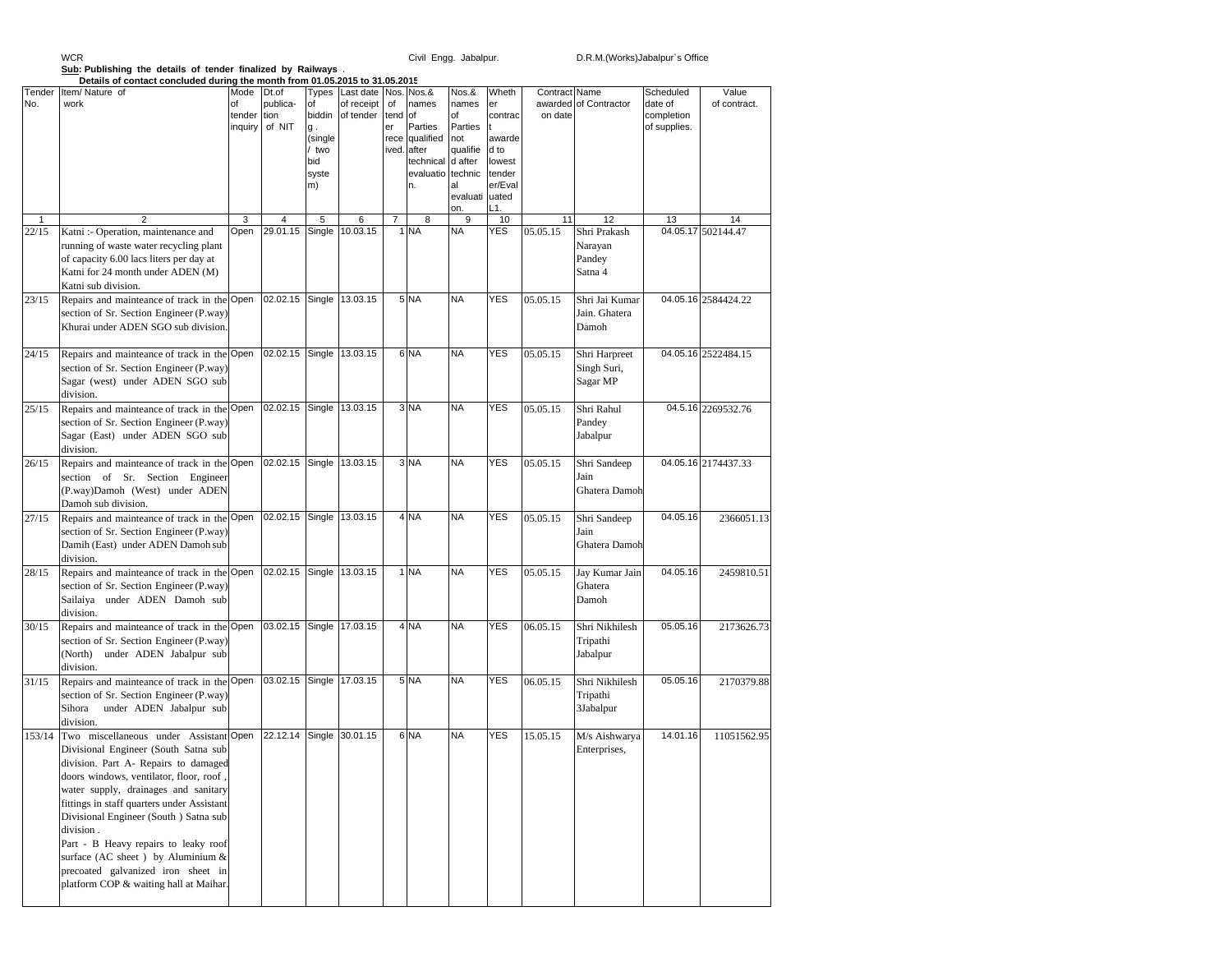## WCR

## **Sub: Publishing the details of tender finalized by Railways .**

|               | Details of contact concluded during the month from 01.05.2015 to 31.05.2015                                                                                                                                                                                                                                                                                                                                                                                                 |                      |                                             |                                                                     |                                                 |                          |                                                                                           |                                                                                |                                                                         |                          |                                              |                                                    |                       |
|---------------|-----------------------------------------------------------------------------------------------------------------------------------------------------------------------------------------------------------------------------------------------------------------------------------------------------------------------------------------------------------------------------------------------------------------------------------------------------------------------------|----------------------|---------------------------------------------|---------------------------------------------------------------------|-------------------------------------------------|--------------------------|-------------------------------------------------------------------------------------------|--------------------------------------------------------------------------------|-------------------------------------------------------------------------|--------------------------|----------------------------------------------|----------------------------------------------------|-----------------------|
| Tender<br>No. | Item/Nature of<br>work                                                                                                                                                                                                                                                                                                                                                                                                                                                      | Mode<br>of<br>tender | Dt.of<br>publica-<br>tion<br>inquiry of NIT | Types<br>of<br>biddin<br>g.<br>(single<br>two<br>bid<br>syste<br>m) | Last date Nos. Nos.&<br>of receipt<br>of tender | of<br>tend<br>er<br>rece | names<br><b>of</b><br>Parties<br>qualified<br>ived. after<br>technical<br>evaluatio<br>n. | Nos.&<br>names<br>of<br>Parties<br>not<br>qualifie<br>d after<br>technic<br>al | Wheth<br>er<br>contrac<br>awarde<br>d to<br>lowest<br>tender<br>er/Eval | Contract Name<br>on date | awarded of Contractor                        | Scheduled<br>date of<br>completion<br>of supplies. | Value<br>of contract. |
|               |                                                                                                                                                                                                                                                                                                                                                                                                                                                                             |                      |                                             |                                                                     |                                                 |                          |                                                                                           | evaluati<br>on.                                                                | uated<br>L1.                                                            |                          |                                              |                                                    |                       |
| $\mathbf{1}$  | 2                                                                                                                                                                                                                                                                                                                                                                                                                                                                           | 3                    | 4                                           | 5                                                                   | 6                                               | $\overline{7}$           | 8                                                                                         | 9                                                                              | 10                                                                      | 11                       | 12                                           | 13                                                 | 14                    |
| 22/15         | Katni :- Operation, maintenance and<br>running of waste water recycling plant<br>of capacity 6.00 lacs liters per day at<br>Katni for 24 month under ADEN (M)<br>Katni sub division.                                                                                                                                                                                                                                                                                        | Open                 | 29.01.15                                    | Single                                                              | 10.03.15                                        |                          | 1 NA                                                                                      | <b>NA</b>                                                                      | <b>YES</b>                                                              | 05.05.15                 | Shri Prakash<br>Narayan<br>Pandey<br>Satna 4 |                                                    | 04.05.17 502144.47    |
| 23/15         | Repairs and mainteance of track in the Open<br>section of Sr. Section Engineer (P.way)<br>Khurai under ADEN SGO sub division.                                                                                                                                                                                                                                                                                                                                               |                      | 02.02.15 Single                             |                                                                     | 13.03.15                                        |                          | 5 NA                                                                                      | <b>NA</b>                                                                      | <b>YES</b>                                                              | 05.05.15                 | Shri Jai Kumar<br>Jain. Ghatera<br>Damoh     |                                                    | 04.05.16 2584424.22   |
| 24/15         | Repairs and mainteance of track in the Open<br>section of Sr. Section Engineer (P.way)<br>Sagar (west) under ADEN SGO sub<br>division.                                                                                                                                                                                                                                                                                                                                      |                      | 02.02.15 Single 13.03.15                    |                                                                     |                                                 |                          | 6 NA                                                                                      | <b>NA</b>                                                                      | <b>YES</b>                                                              | 05.05.15                 | Shri Harpreet<br>Singh Suri,<br>Sagar MP     |                                                    | 04.05.16 2522484.15   |
| 25/15         | Repairs and mainteance of track in the Open<br>section of Sr. Section Engineer (P.way)<br>Sagar (East) under ADEN SGO sub<br>division.                                                                                                                                                                                                                                                                                                                                      |                      | 02.02.15 Single                             |                                                                     | 13.03.15                                        |                          | 3 NA                                                                                      | NA                                                                             | <b>YES</b>                                                              | 05.05.15                 | Shri Rahul<br>Pandey<br>Jabalpur             |                                                    | 04.5.16 2269532.76    |
| 26/15         | Repairs and mainteance of track in the Open<br>section of Sr. Section Engineer<br>(P.way)Damoh (West) under ADEN<br>Damoh sub division.                                                                                                                                                                                                                                                                                                                                     |                      | 02.02.15 Single                             |                                                                     | 13.03.15                                        |                          | 3 NA                                                                                      | NA                                                                             | <b>YES</b>                                                              | 05.05.15                 | Shri Sandeep<br>Jain<br>Ghatera Damoh        |                                                    | 04.05.16 2174437.33   |
| 27/15         | Repairs and mainteance of track in the Open<br>section of Sr. Section Engineer (P.way)<br>Damih (East) under ADEN Damoh sub<br>division.                                                                                                                                                                                                                                                                                                                                    |                      | 02.02.15 Single                             |                                                                     | 13.03.15                                        |                          | 4 NA                                                                                      | <b>NA</b>                                                                      | <b>YES</b>                                                              | 05.05.15                 | Shri Sandeep<br>Jain<br>Ghatera Damoh        | 04.05.16                                           | 2366051.13            |
| 28/15         | Repairs and mainteance of track in the Open<br>section of Sr. Section Engineer (P.way)<br>Sailaiya under ADEN Damoh sub<br>division.                                                                                                                                                                                                                                                                                                                                        |                      | 02.02.15 Single                             |                                                                     | 13.03.15                                        |                          | 1 NA                                                                                      | <b>NA</b>                                                                      | <b>YES</b>                                                              | 05.05.15                 | Jay Kumar Jain<br>Ghatera<br>Damoh           | 04.05.16                                           | 2459810.51            |
| 30/15         | Repairs and mainteance of track in the Open<br>section of Sr. Section Engineer (P.way)<br>(North)<br>under ADEN Jabalpur sub<br>division.                                                                                                                                                                                                                                                                                                                                   |                      | 03.02.15 Single 17.03.15                    |                                                                     |                                                 |                          | 4 NA                                                                                      | <b>NA</b>                                                                      | <b>YES</b>                                                              | 06.05.15                 | Shri Nikhilesh<br>Tripathi<br>Jabalpur       | 05.05.16                                           | 2173626.73            |
| 31/15         | Repairs and mainteance of track in the Open<br>section of Sr. Section Engineer (P.way)<br>Sihora<br>under ADEN Jabalpur sub<br>division.                                                                                                                                                                                                                                                                                                                                    |                      | 03.02.15 Single 17.03.15                    |                                                                     |                                                 |                          | 5 NA                                                                                      | <b>NA</b>                                                                      | YES                                                                     | 06.05.15                 | Shri Nikhilesh<br>Tripathi<br>3Jabalpur      | 05.05.16                                           | 2170379.88            |
| 153/14        | Two miscellaneous under Assistant Open<br>Divisional Engineer (South Satna sub<br>division. Part A- Repairs to damaged<br>doors windows, ventilator, floor, roof,<br>water supply, drainages and sanitary<br>fittings in staff quarters under Assistant<br>Divisional Engineer (South ) Satna sub<br>division.<br>Part - B Heavy repairs to leaky roof<br>surface (AC sheet) by Aluminium &<br>precoated galvanized iron sheet in<br>platform COP & waiting hall at Maihar. |                      | 22.12.14                                    | Single                                                              | 30.01.15                                        |                          | 6 NA                                                                                      | <b>NA</b>                                                                      | <b>YES</b>                                                              | 15.05.15                 | M/s Aishwarya<br>Enterprises,                | 14.01.16                                           | 11051562.95           |